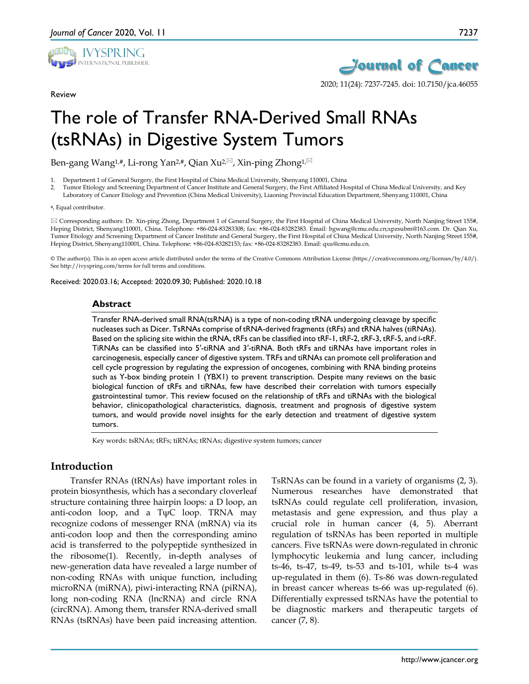

Review



2020; 11(24): 7237-7245. doi: 10.7150/jca.46055

# The role of Transfer RNA-Derived Small RNAs (tsRNAs) in Digestive System Tumors

Ben-gang Wang<sup>1,#</sup>, Li-rong Yan<sup>2,#</sup>, Qian Xu<sup>2, $\boxtimes$ </sup>, Xin-ping Zhong<sup>1, $\boxtimes$ </sup>

1. Department 1 of General Surgery, the First Hospital of China Medical University, Shenyang 110001, China

2. Tumor Etiology and Screening Department of Cancer Institute and General Surgery, the First Affiliated Hospital of China Medical University, and Key Laboratory of Cancer Etiology and Prevention (China Medical University), Liaoning Provincial Education Department, Shenyang 110001, China

#### #, Equal contributor.

 Corresponding authors: Dr. Xin-ping Zhong, Department 1 of General Surgery, the First Hospital of China Medical University, North Nanjing Street 155#, Heping District, Shenyang110001, China. Telephone: +86-024-83283308; fax: +86-024-83282383. Email: bgwang@cmu.edu.cn;xpzsubm@163.com. Dr. Qian Xu, Tumor Etiology and Screening Department of Cancer Institute and General Surgery, the First Hospital of China Medical University, North Nanjing Street 155#, Heping District, Shenyang110001, China. Telephone: +86-024-83282153; fax: +86-024-83282383. Email: qxu@cmu.edu.cn.

© The author(s). This is an open access article distributed under the terms of the Creative Commons Attribution License (https://creativecommons.org/licenses/by/4.0/). See http://ivyspring.com/terms for full terms and conditions.

Received: 2020.03.16; Accepted: 2020.09.30; Published: 2020.10.18

## **Abstract**

Transfer RNA-derived small RNA(tsRNA) is a type of non-coding tRNA undergoing cleavage by specific nucleases such as Dicer. TsRNAs comprise of tRNA-derived fragments (tRFs) and tRNA halves (tiRNAs). Based on the splicing site within the tRNA, tRFs can be classified into tRF-1, tRF-2, tRF-3, tRF-5, and i-tRF. TiRNAs can be classified into 5′-tiRNA and 3′-tiRNA. Both tRFs and tiRNAs have important roles in carcinogenesis, especially cancer of digestive system. TRFs and tiRNAs can promote cell proliferation and cell cycle progression by regulating the expression of oncogenes, combining with RNA binding proteins such as Y-box binding protein 1 (YBX1) to prevent transcription. Despite many reviews on the basic biological function of tRFs and tiRNAs, few have described their correlation with tumors especially gastrointestinal tumor. This review focused on the relationship of tRFs and tiRNAs with the biological behavior, clinicopathological characteristics, diagnosis, treatment and prognosis of digestive system tumors, and would provide novel insights for the early detection and treatment of digestive system tumors.

Key words: tsRNAs; tRFs; tiRNAs; tRNAs; digestive system tumors; cancer

# **Introduction**

Transfer RNAs (tRNAs) have important roles in protein biosynthesis, which has a secondary cloverleaf structure containing three hairpin loops: a D loop, an anti-codon loop, and a  $T\psi C$  loop. TRNA may recognize codons of messenger RNA (mRNA) via its anti-codon loop and then the corresponding amino acid is transferred to the polypeptide synthesized in the ribosome(1). Recently, in-depth analyses of new-generation data have revealed a large number of non-coding RNAs with unique function, including microRNA (miRNA), piwi-interacting RNA (piRNA), long non-coding RNA (lncRNA) and circle RNA (circRNA). Among them, transfer RNA-derived small RNAs (tsRNAs) have been paid increasing attention.

TsRNAs can be found in a variety of organisms (2, 3). Numerous researches have demonstrated that tsRNAs could regulate cell proliferation, invasion, metastasis and gene expression, and thus play a crucial role in human cancer (4, 5). Aberrant regulation of tsRNAs has been reported in multiple cancers. Five tsRNAs were down-regulated in chronic lymphocytic leukemia and lung cancer, including ts-46, ts-47, ts-49, ts-53 and ts-101, while ts-4 was up-regulated in them (6). Ts-86 was down-regulated in breast cancer whereas ts-66 was up-regulated (6). Differentially expressed tsRNAs have the potential to be diagnostic markers and therapeutic targets of cancer (7, 8).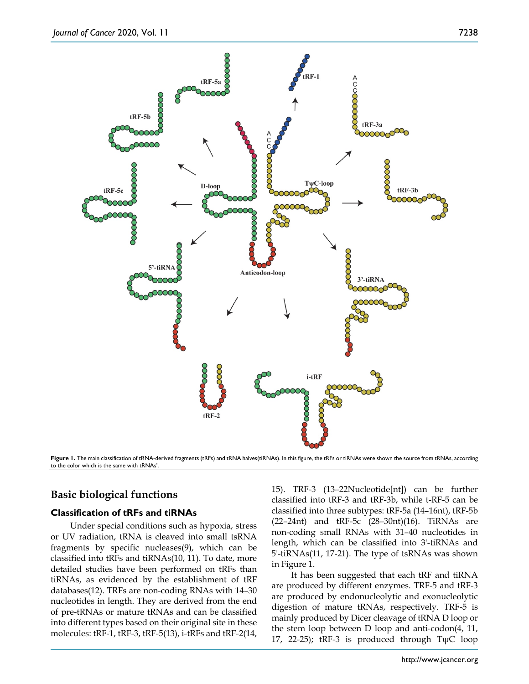

**Figure 1.** The main classification of tRNA-derived fragments (tRFs) and tRNA halves(tiRNAs). In this figure, the tRFs or tiRNAs were shown the source from tRNAs, according to the color which is the same with tRNAs'.

# **Basic biological functions**

## **Classification of tRFs and tiRNAs**

Under special conditions such as hypoxia, stress or UV radiation, tRNA is cleaved into small tsRNA fragments by specific nucleases(9), which can be classified into tRFs and tiRNAs(10, 11). To date, more detailed studies have been performed on tRFs than tiRNAs, as evidenced by the establishment of tRF databases(12). TRFs are non-coding RNAs with 14–30 nucleotides in length. They are derived from the end of pre-tRNAs or mature tRNAs and can be classified into different types based on their original site in these molecules: tRF-1, tRF-3, tRF-5(13), i-tRFs and tRF-2(14, 15). TRF-3 (13–22Nucleotide[nt]) can be further classified into tRF-3 and tRF-3b, while t-RF-5 can be classified into three subtypes: tRF-5a (14–16nt), tRF-5b (22–24nt) and tRF-5c (28–30nt)(16). TiRNAs are non-coding small RNAs with 31–40 nucleotides in length, which can be classified into 3'-tiRNAs and 5'-tiRNAs(11, 17-21). The type of tsRNAs was shown in Figure 1.

It has been suggested that each tRF and tiRNA are produced by different enzymes. TRF-5 and tRF-3 are produced by endonucleolytic and exonucleolytic digestion of mature tRNAs, respectively. TRF-5 is mainly produced by Dicer cleavage of tRNA D loop or the stem loop between D loop and anti-codon(4, 11, 17, 22-25); tRF-3 is produced through TψC loop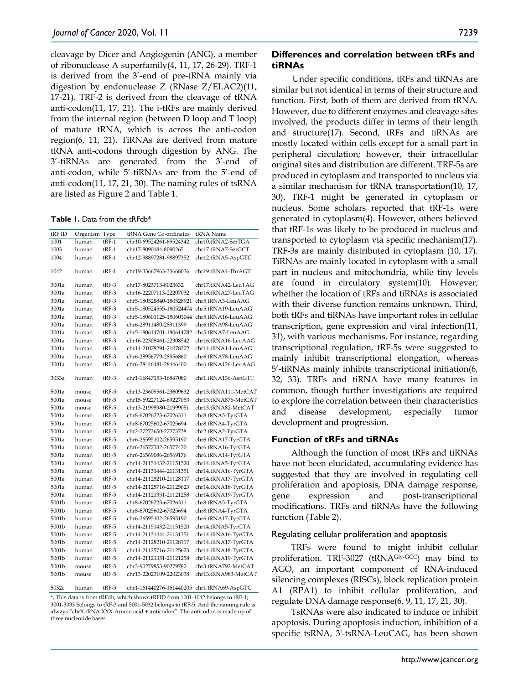cleavage by Dicer and Angiogenin (ANG), a member of ribonuclease A superfamily(4, 11, 17, 26-29). TRF-1 is derived from the 3'-end of pre-tRNA mainly via digestion by endonuclease Z (RNase Z/ELAC2)(11, 17-21). TRF-2 is derived from the cleavage of tRNA anti-codon(11, 17, 21). The i-tRFs are mainly derived from the internal region (between D loop and T loop) of mature tRNA, which is across the anti-codon region(6, 11, 21). TiRNAs are derived from mature tRNA anti-codons through digestion by ANG. The 3'-tiRNAs are generated from the 3'-end of anti-codon, while 5'-tiRNAs are from the 5'-end of anti-codon(11, 17, 21, 30). The naming rules of tsRNA are listed as Figure 2 and Table 1.

| <b>Table 1.</b> Data from the $t$ RFdb $*$ |  |  |  |  |  |
|--------------------------------------------|--|--|--|--|--|
|--------------------------------------------|--|--|--|--|--|

| tRF ID | Organism | Type    | tRNA Gene Co-ordinates                     | tRNA Name            |
|--------|----------|---------|--------------------------------------------|----------------------|
| 1001   | human    | tRF-1   | chr10-69524261-69524342                    | chr10.tRNA2-SerTGA   |
| 1003   | human    | $tRF-1$ | chr17-8090184-8090265                      | chr17.tRNA7-SerGCT   |
| 1004   | human    | $tRF-1$ | chr12-98897281-98897352                    | chr12.tRNA5-AspGTC   |
| 1042   | human    | $tRF-1$ | chr19-33667963-33668036                    | chr19.tRNA4-ThrAGT   |
| 3001a  | human    | tRF-3   | chr17-8023713-8023632                      | chr17.tRNA42-LeuTAG  |
| 3001a  | human    | $tRF-3$ | chr16-22207113-22207032                    | chr16.tRNA27-LeuTAG  |
| 3001a  | human    | $tRF-3$ | chr5-180528840-180528921                   | chr5.tRNA3-LeuAAG    |
| 3001a  | human    | $tRF-3$ | chr5-180524555-180524474                   | chr5.tRNA19-LeuAAG   |
| 3001a  | human    | $tRF-3$ | chr5-180601125-180601044                   | chr5.tRNA16-LeuAAG   |
| 3001a  | human    | $tRF-3$ | chr6-28911480-28911399                     | chr6.tRNA98-LeuAAG   |
| 3001a  | human    | $tRF-3$ | chr5-180614701-180614782 chr5.tRNA7-LeuAAG |                      |
| 3001a  | human    | tRF-3   | chr16-22308461-22308542                    | chr16.tRNA16-LeuAAG  |
| 3001a  | human    | $tRF-3$ | chr14-21078291-21078372                    | chr14.tRNA1-LeuAAG   |
| 3001a  | human    | $tRF-3$ | chr6-28956779-28956860                     | chr6.tRNA78-LeuAAG   |
| 3001a  | human    | $tRF-3$ | chr6-28446481-28446400                     | chr6.tRNA126-LeuAAG  |
| 3033a  | human    | $tRF-3$ | chr1-16847153-16847080                     | chr1.tRNA136-AsnGTT  |
| 5001a  | mouse    | $tRF-5$ | chr13-23609561-23609632                    | chr13.tRNA111-MetCAT |
| 5001a  | mouse    | $tRF-5$ | chr15-69227124-69227053                    | chr15.tRNA876-MetCAT |
| 5001a  | mouse    | $tRF-5$ | chr13-21998980-21999051                    | chr13.tRNA82-MetCAT  |
| 5001a  | human    | tRF-5   | chr8-67026223-67026311                     | chr8.tRNA5-TyrGTA    |
| 5001a  | human    | $tRF-5$ | chr8-67025602-67025694                     | chr8.tRNA4-TyrGTA    |
| 5001a  | human    | tRF-5   | chr2-27273650-27273738                     | chr2.tRNA2-TyrGTA    |
| 5001a  | human    | tRF-5   | chr6-26595102-26595190                     | chr6.tRNA17-TyrGTA   |
| 5001a  | human    | $tRF-5$ | chr6-26577332-26577420                     | chr6.tRNA16-TyrGTA   |
| 5001a  | human    | $tRF-5$ | chr6-26569086-26569176                     | chr6.tRNA14-TyrGTA   |
| 5001a  | human    | $tRF-5$ | chr14-21151432-21151520                    | chr14.tRNA5-TyrGTA   |
| 5001a  | human    | $tRF-5$ | chr14-21131444-21131351                    | chr14.tRNA16-TyrGTA  |
| 5001a  | human    | $tRF-5$ | chr14-21128210-21128117                    | chr14.tRNA17-TyrGTA  |
| 5001a  | human    | $tRF-5$ | chr14-21125716-21125623                    | chr14.tRNA18-TyrGTA  |
| 5001a  | human    | $tRF-5$ | chr14-21121351-21121258                    | chr14.tRNA19-TyrGTA  |
| 5001b  | human    | $tRF-5$ | chr8-67026223-67026311                     | chr8.tRNA5-TyrGTA    |
| 5001b  | human    | $tRF-5$ | chr8-67025602-67025694                     | chr8.tRNA4-TyrGTA    |
| 5001b  | human    | tRF-5   | chr6-26595102-26595190                     | chr6.tRNA17-TyrGTA   |
| 5001b  | human    | $tRF-5$ | chr14-21151432-21151520                    | chr14.tRNA5-TyrGTA   |
| 5001b  | human    | tRF-5   | chr14-21131444-21131351                    | chr14.tRNA16-TyrGTA  |
| 5001b  | human    | $tRF-5$ | chr14-21128210-21128117                    | chr14.tRNA17-TyrGTA  |
| 5001b  | human    | $tRF-5$ | chr14-21125716-21125623                    | chr14.tRNA18-TyrGTA  |
| 5001b  | human    | $tRF-5$ | chr14-21121351-21121258                    | chr14.tRNA19-TyrGTA  |
| 5001b  | mouse    | tRF-5   | chr3-90279853-90279782                     | chr3.tRNA792-MetCAT  |
| 5001b  | mouse    | tRF-5   | chr13-22023109-22023038                    | chr13.tRNA983-MetCAT |
| 5032c  | human    | tRF-5   | chr1-161440276-161440205                   | chr1.tRNA69-AspGTC   |

\*, This data is from tRFdb, which shows tRFID from 1001-1042 belongs to tRF-1; 3001-3033 belongs to tRF-3 and 5001-5032 belongs to tRF-5. And the naming rule is always "chrX.tRNA XXX-Amino acid + anticodon". The anticodon is made up of

three nucleotide bases.

## **Differences and correlation between tRFs and tiRNAs**

Under specific conditions, tRFs and tiRNAs are similar but not identical in terms of their structure and function. First, both of them are derived from tRNA. However, due to different enzymes and cleavage sites involved, the products differ in terms of their length and structure(17). Second, tRFs and tiRNAs are mostly located within cells except for a small part in peripheral circulation; however, their intracellular original sites and distribution are different. TRF-5s are produced in cytoplasm and transported to nucleus via a similar mechanism for tRNA transportation(10, 17, 30). TRF-1 might be generated in cytoplasm or nucleus. Some scholars reported that tRF-1s were generated in cytoplasm(4). However, others believed that tRF-1s was likely to be produced in nucleus and transported to cytoplasm via specific mechanism(17). TRF-3s are mainly distributed in cytoplasm (10, 17). TiRNAs are mainly located in cytoplasm with a small part in nucleus and mitochondria, while tiny levels are found in circulatory system(10). However, whether the location of tRFs and tiRNAs is associated with their diverse function remains unknown. Third, both tRFs and tiRNAs have important roles in cellular transcription, gene expression and viral infection(11, 31), with various mechanisms. For instance, regarding transcriptional regulation, tRF-5s were suggested to mainly inhibit transcriptional elongation, whereas 5'-tiRNAs mainly inhibits transcriptional initiation(6, 32, 33). TRFs and tiRNA have many features in common, though further investigations are required to explore the correlation between their characteristics and disease development, especially tumor development and progression.

#### **Function of tRFs and tiRNAs**

Although the function of most tRFs and tiRNAs have not been elucidated, accumulating evidence has suggested that they are involved in regulating cell proliferation and apoptosis, DNA damage response, gene expression and post-transcriptional modifications. TRFs and tiRNAs have the following function (Table 2).

#### Regulating cellular proliferation and apoptosis

TRFs were found to might inhibit cellular proliferation. TRF-3027 (tRNAGly-GCC) may bind to AGO, an important component of RNA-induced silencing complexes (RISCs), block replication protein A1 (RPA1) to inhibit cellular proliferation, and regulate DNA damage response(6, 9, 11, 17, 21, 30).

TsRNAs were also indicated to induce or inhibit apoptosis. During apoptosis induction, inhibition of a specific tsRNA, 3'-tsRNA-LeuCAG, has been shown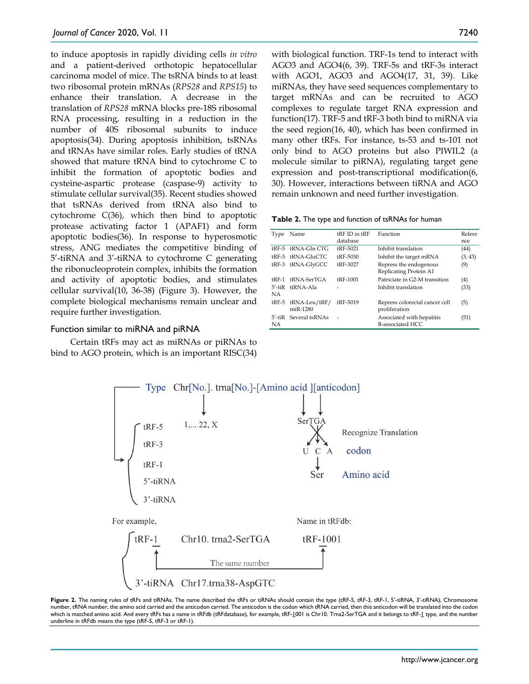to induce apoptosis in rapidly dividing cells *in vitro* and a patient-derived orthotopic hepatocellular carcinoma model of mice. The tsRNA binds to at least two ribosomal protein mRNAs (*RPS28* and *RPS15*) to enhance their translation. A decrease in the translation of *RPS28* mRNA blocks pre-18S ribosomal RNA processing, resulting in a reduction in the number of 40S ribosomal subunits to induce apoptosis(34). During apoptosis inhibition, tsRNAs and tRNAs have similar roles. Early studies of tRNA showed that mature tRNA bind to cytochrome C to inhibit the formation of apoptotic bodies and cysteine-aspartic protease (caspase-9) activity to stimulate cellular survival(35). Recent studies showed that tsRNAs derived from tRNA also bind to cytochrome C(36), which then bind to apoptotic protease activating factor 1 (APAF1) and form apoptotic bodies(36). In response to hyperosmotic stress, ANG mediates the competitive binding of 5'-tiRNA and 3'-tiRNA to cytochrome C generating the ribonucleoprotein complex, inhibits the formation and activity of apoptotic bodies, and stimulates cellular survival(10, 36-38) (Figure 3). However, the complete biological mechanisms remain unclear and require further investigation.

## Function similar to miRNA and piRNA

Certain tRFs may act as miRNAs or piRNAs to bind to AGO protein, which is an important RISC(34) with biological function. TRF-1s tend to interact with AGO3 and AGO4(6, 39). TRF-5s and tRF-3s interact with AGO1, AGO3 and AGO4(17, 31, 39). Like miRNAs, they have seed sequences complementary to target mRNAs and can be recruited to AGO complexes to regulate target RNA expression and function(17). TRF-5 and tRF-3 both bind to miRNA via the seed region(16, 40), which has been confirmed in many other tRFs. For instance, ts-53 and ts-101 not only bind to AGO proteins but also PIWIL2 (a molecule similar to piRNA), regulating target gene expression and post-transcriptional modification(6, 30). However, interactions between tiRNA and AGO remain unknown and need further investigation.

|  | Table 2. The type and function of tsRNAs for human |  |  |  |
|--|----------------------------------------------------|--|--|--|
|--|----------------------------------------------------|--|--|--|

| Type         | Name                     | fRF ID in fRF   | Function                       | Refere  |
|--------------|--------------------------|-----------------|--------------------------------|---------|
|              |                          | database        |                                | nce     |
|              | $tRF-5$ $tRNA-Gln$ $CTG$ | tRF-5021        | Inhibit translation            | (44)    |
|              | tRF-5 tRNA-GluCTC        | tRF-5030        | Inhibit the target mRNA        | (3, 43) |
| tRF-3        | tRNA-GlyGCC              | <b>tRF-3027</b> | Repress the endogenous         | (9)     |
|              |                          |                 | Replicating Protein A1         |         |
| +RF-1        | tRNA-SerTGA              | <b>tRF-1001</b> | Patriciate in G2-M transition  | (4)     |
| $5'$ -ti $R$ | tiRNA-Ala                |                 | Inhibit translation            | (33)    |
| NА           |                          |                 |                                |         |
| $tRF-5$      | tRNA-Leu/tRF/            | <b>tRF-5019</b> | Repress colorectal cancer cell | (5)     |
|              | miR-1280                 |                 | proliferation                  |         |
|              | 5'-tiR Several tsRNAs    |                 | Associated with hepatitis      | (51)    |
| NA.          |                          |                 | <b>B-associated HCC</b>        |         |
|              |                          |                 |                                |         |

![](_page_3_Figure_8.jpeg)

![](_page_3_Figure_9.jpeg)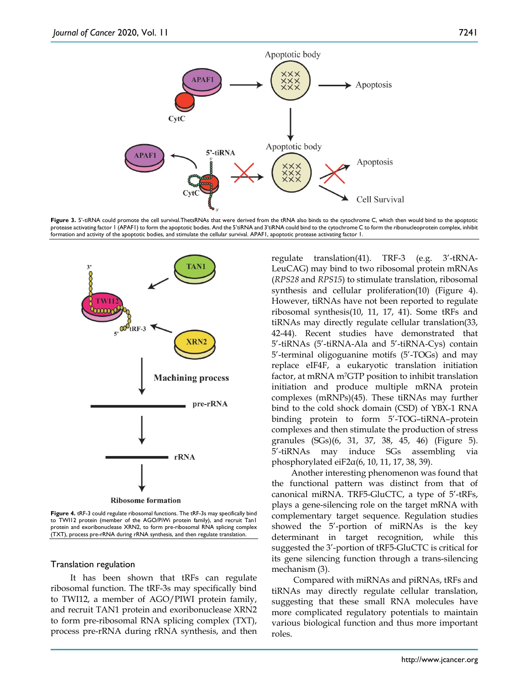![](_page_4_Figure_2.jpeg)

Figure 3. 5'-tiRNA could promote the cell survival.ThetsRNAs that were derived from the tRNA also binds to the cytochrome C, which then would bind to the apoptotic protease activating factor 1 (APAF1) to form the apoptotic bodies. And the 5'tiRNA and 3'tiRNA could bind to the cytochrome C to form the ribonucleoprotein complex, inhibit formation and activity of the apoptotic bodies, and stimulate the cellular survival. APAF1, apoptotic protease activating factor 1.

![](_page_4_Figure_4.jpeg)

**Figure 4.** tRF-3 could regulate ribosomal functions. The tRF-3s may specifically bind to TWII2 protein (member of the AGO/PiWi protein family), and recruit Tan1 protein and exoribonuclease XRN2, to form pre-ribosomal RNA splicing complex (TXT), process pre-rRNA during rRNA synthesis, and then regulate translation.

#### Translation regulation

It has been shown that tRFs can regulate ribosomal function. The tRF-3s may specifically bind to TWI12, a member of AGO/PIWI protein family, and recruit TAN1 protein and exoribonuclease XRN2 to form pre-ribosomal RNA splicing complex (TXT), process pre-rRNA during rRNA synthesis, and then regulate translation(41). TRF-3 (e.g. 3'-tRNA-LeuCAG) may bind to two ribosomal protein mRNAs (*RPS28* and *RPS15*) to stimulate translation, ribosomal synthesis and cellular proliferation(10) (Figure 4). However, tiRNAs have not been reported to regulate ribosomal synthesis(10, 11, 17, 41). Some tRFs and tiRNAs may directly regulate cellular translation(33, 42-44). Recent studies have demonstrated that 5'-tiRNAs (5'-tiRNA-Ala and 5'-tiRNA-Cys) contain 5'-terminal oligoguanine motifs (5'-TOGs) and may replace eIF4F, a eukaryotic translation initiation factor, at mRNA m7GTP position to inhibit translation initiation and produce multiple mRNA protein complexes (mRNPs)(45). These tiRNAs may further bind to the cold shock domain (CSD) of YBX-1 RNA binding protein to form 5'-TOG–tiRNA–protein complexes and then stimulate the production of stress granules (SGs)(6, 31, 37, 38, 45, 46) (Figure 5). 5'-tiRNAs may induce SGs assembling via phosphorylated ei $F2α(6, 10, 11, 17, 38, 39)$ .

Another interesting phenomenon was found that the functional pattern was distinct from that of canonical miRNA. TRF5-GluCTC, a type of 5'-tRFs, plays a gene-silencing role on the target mRNA with complementary target sequence. Regulation studies showed the 5'-portion of miRNAs is the key determinant in target recognition, while this suggested the 3'-portion of tRF5-GluCTC is critical for its gene silencing function through a trans-silencing mechanism (3).

Compared with miRNAs and piRNAs, tRFs and tiRNAs may directly regulate cellular translation, suggesting that these small RNA molecules have more complicated regulatory potentials to maintain various biological function and thus more important roles.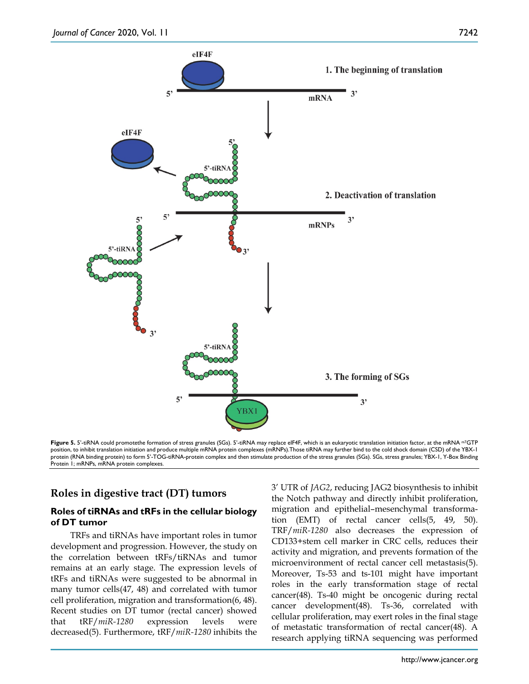![](_page_5_Figure_2.jpeg)

Figure 5. 5'-tiRNA could promotethe formation of stress granules (SGs). 5'-tiRNA may replace eIF4F, which is an eukaryotic translation initiation factor, at the mRNA <sup>m7</sup>GTP position, to inhibit translation initiation and produce multiple mRNA protein complexes (mRNPs).Those tiRNA may further bind to the cold shock domain (CSD) of the YBX-1 protein (RNA binding protein) to form 5'-TOG-tiRNA-protein complex and then stimulate production of the stress granules (SGs). SGs, stress granules; YBX-1, Y-Box Binding Protein 1; mRNPs, mRNA protein complexes.

# **Roles in digestive tract (DT) tumors**

# **Roles of tiRNAs and tRFs in the cellular biology of DT tumor**

TRFs and tiRNAs have important roles in tumor development and progression. However, the study on the correlation between tRFs/tiRNAs and tumor remains at an early stage. The expression levels of tRFs and tiRNAs were suggested to be abnormal in many tumor cells(47, 48) and correlated with tumor cell proliferation, migration and transformation(6, 48). Recent studies on DT tumor (rectal cancer) showed that tRF/*miR-1280* expression levels were decreased(5). Furthermore, tRF/*miR-1280* inhibits the 3' UTR of *JAG2*, reducing JAG2 biosynthesis to inhibit the Notch pathway and directly inhibit proliferation, migration and epithelial–mesenchymal transformation (EMT) of rectal cancer cells(5, 49, 50). TRF/*miR-1280* also decreases the expression of CD133+stem cell marker in CRC cells, reduces their activity and migration, and prevents formation of the microenvironment of rectal cancer cell metastasis(5). Moreover, Ts-53 and ts-101 might have important roles in the early transformation stage of rectal cancer(48). Ts-40 might be oncogenic during rectal cancer development(48). Ts-36, correlated with cellular proliferation, may exert roles in the final stage of metastatic transformation of rectal cancer(48). A research applying tiRNA sequencing was performed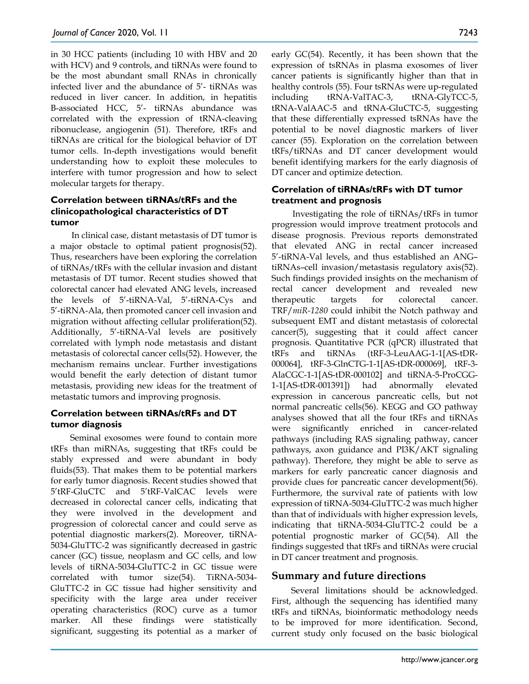in 30 HCC patients (including 10 with HBV and 20 with HCV) and 9 controls, and tiRNAs were found to be the most abundant small RNAs in chronically infected liver and the abundance of 5'- tiRNAs was reduced in liver cancer. In addition, in hepatitis B-associated HCC, 5'- tiRNAs abundance was correlated with the expression of tRNA-cleaving ribonuclease, angiogenin (51). Therefore, tRFs and tiRNAs are critical for the biological behavior of DT tumor cells. In-depth investigations would benefit understanding how to exploit these molecules to interfere with tumor progression and how to select molecular targets for therapy.

# **Correlation between tiRNAs/tRFs and the clinicopathological characteristics of DT tumor**

In clinical case, distant metastasis of DT tumor is a major obstacle to optimal patient prognosis(52). Thus, researchers have been exploring the correlation of tiRNAs/tRFs with the cellular invasion and distant metastasis of DT tumor. Recent studies showed that colorectal cancer had elevated ANG levels, increased the levels of 5'-tiRNA-Val, 5'-tiRNA-Cys and 5'-tiRNA-Ala, then promoted cancer cell invasion and migration without affecting cellular proliferation(52). Additionally, 5'-tiRNA-Val levels are positively correlated with lymph node metastasis and distant metastasis of colorectal cancer cells(52). However, the mechanism remains unclear. Further investigations would benefit the early detection of distant tumor metastasis, providing new ideas for the treatment of metastatic tumors and improving prognosis.

# **Correlation between tiRNAs/tRFs and DT tumor diagnosis**

Seminal exosomes were found to contain more tRFs than miRNAs, suggesting that tRFs could be stably expressed and were abundant in body fluids(53). That makes them to be potential markers for early tumor diagnosis. Recent studies showed that 5'tRF-GluCTC and 5'tRF-ValCAC levels were decreased in colorectal cancer cells, indicating that they were involved in the development and progression of colorectal cancer and could serve as potential diagnostic markers(2). Moreover, tiRNA-5034-GluTTC-2 was significantly decreased in gastric cancer (GC) tissue, neoplasm and GC cells, and low levels of tiRNA-5034-GluTTC-2 in GC tissue were correlated with tumor size(54). TiRNA-5034- GluTTC-2 in GC tissue had higher sensitivity and specificity with the large area under receiver operating characteristics (ROC) curve as a tumor marker. All these findings were statistically significant, suggesting its potential as a marker of

early GC(54). Recently, it has been shown that the expression of tsRNAs in plasma exosomes of liver cancer patients is significantly higher than that in healthy controls (55). Four tsRNAs were up-regulated including tRNA-ValTAC-3, tRNA-GlyTCC-5, tRNA-ValAAC-5 and tRNA-GluCTC-5, suggesting that these differentially expressed tsRNAs have the potential to be novel diagnostic markers of liver cancer (55). Exploration on the correlation between tRFs/tiRNAs and DT cancer development would benefit identifying markers for the early diagnosis of DT cancer and optimize detection.

# **Correlation of tiRNAs/tRFs with DT tumor treatment and prognosis**

Investigating the role of tiRNAs/tRFs in tumor progression would improve treatment protocols and disease prognosis. Previous reports demonstrated that elevated ANG in rectal cancer increased 5'-tiRNA-Val levels, and thus established an ANG– tiRNAs–cell invasion/metastasis regulatory axis(52). Such findings provided insights on the mechanism of rectal cancer development and revealed new therapeutic targets for colorectal cancer. TRF/*miR-1280* could inhibit the Notch pathway and subsequent EMT and distant metastasis of colorectal cancer(5), suggesting that it could affect cancer prognosis. Quantitative PCR (qPCR) illustrated that tRFs and tiRNAs (tRF-3-LeuAAG-1-1[AS-tDR-000064], tRF-3-GlnCTG-1-1[AS-tDR-000069], tRF-3- AlaCGC-1-1[AS-tDR-000102] and tiRNA-5-ProCGG-1-1[AS-tDR-001391]) had abnormally elevated expression in cancerous pancreatic cells, but not normal pancreatic cells(56). KEGG and GO pathway analyses showed that all the four tRFs and tiRNAs were significantly enriched in cancer-related pathways (including RAS signaling pathway, cancer pathways, axon guidance and PI3K/AKT signaling pathway). Therefore, they might be able to serve as markers for early pancreatic cancer diagnosis and provide clues for pancreatic cancer development(56). Furthermore, the survival rate of patients with low expression of tiRNA-5034-GluTTC-2 was much higher than that of individuals with higher expression levels, indicating that tiRNA-5034-GluTTC-2 could be a potential prognostic marker of GC(54). All the findings suggested that tRFs and tiRNAs were crucial in DT cancer treatment and prognosis.

# **Summary and future directions**

Several limitations should be acknowledged. First, although the sequencing has identified many tRFs and tiRNAs, bioinformatic methodology needs to be improved for more identification. Second, current study only focused on the basic biological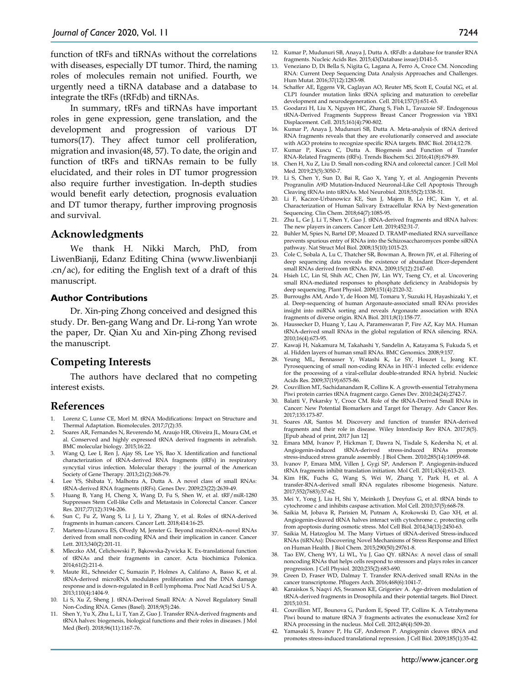function of tRFs and tiRNAs without the correlations with diseases, especially DT tumor. Third, the naming roles of molecules remain not unified. Fourth, we urgently need a tiRNA database and a database to integrate the tRFs (tRFdb) and tiRNAs.

In summary, tRFs and tiRNAs have important roles in gene expression, gene translation, and the development and progression of various DT tumors(17). They affect tumor cell proliferation, migration and invasion(48, 57). To date, the origin and function of tRFs and tiRNAs remain to be fully elucidated, and their roles in DT tumor progression also require further investigation. In-depth studies would benefit early detection, prognosis evaluation and DT tumor therapy, further improving prognosis and survival.

## **Acknowledgments**

We thank H. Nikki March, PhD, from LiwenBianji, Edanz Editing China (www.liwenbianji .cn/ac), for editing the English text of a draft of this manuscript.

#### **Author Contributions**

Dr. Xin-ping Zhong conceived and designed this study. Dr. Ben-gang Wang and Dr. Li-rong Yan wrote the paper, Dr. Qian Xu and Xin-ping Zhong revised the manuscript.

# **Competing Interests**

The authors have declared that no competing interest exists.

# **References**

- Lorenz C, Lunse CE, Morl M. tRNA Modifications: Impact on Structure and Thermal Adaptation. Biomolecules. 2017;7(2):35.
- 2. Soares AR, Fernandes N, Reverendo M, Araujo HR, Oliveira JL, Moura GM, et al. Conserved and highly expressed tRNA derived fragments in zebrafish. BMC molecular biology. 2015;16:22.
- Wang Q, Lee I, Ren J, Ajay SS, Lee YS, Bao X. Identification and functional characterization of tRNA-derived RNA fragments (tRFs) in respiratory syncytial virus infection. Molecular therapy : the journal of the American Society of Gene Therapy. 2013;21(2):368-79.
- 4. Lee YS, Shibata Y, Malhotra A, Dutta A. A novel class of small RNAs: tRNA-derived RNA fragments (tRFs). Genes Dev. 2009;23(22):2639-49.
- 5. Huang B, Yang H, Cheng X, Wang D, Fu S, Shen W, et al. tRF/miR-1280 Suppresses Stem Cell-like Cells and Metastasis in Colorectal Cancer. Cancer Res. 2017;77(12):3194-206.
- 6. Sun C, Fu Z, Wang S, Li J, Li Y, Zhang Y, et al. Roles of tRNA-derived fragments in human cancers. Cancer Lett. 2018;414:16-25.
- 7. Martens-Uzunova ES, Olvedy M, Jenster G. Beyond microRNA--novel RNAs derived from small non-coding RNA and their implication in cancer. Cancer Lett. 2013;340(2):201-11.
- 8. Mleczko AM, Celichowski P, Bąkowska-Żywicka K. Ex-translational function of tRNAs and their fragments in cancer. Acta biochimica Polonica. 2014;61(2):211-6.
- 9. Maute RL, Schneider C, Sumazin P, Holmes A, Califano A, Basso K, et al. tRNA-derived microRNA modulates proliferation and the DNA damage response and is down-regulated in B cell lymphoma. Proc Natl Acad Sci U S A. 2013;110(4):1404-9.
- 10. Li S, Xu Z, Sheng J. tRNA-Derived Small RNA: A Novel Regulatory Small Non-Coding RNA. Genes (Basel). 2018;9(5):246.
- 11. Shen Y, Yu X, Zhu L, Li T, Yan Z, Guo J. Transfer RNA-derived fragments and tRNA halves: biogenesis, biological functions and their roles in diseases. J Mol Med (Berl). 2018;96(11):1167-76.
- 12. Kumar P, Mudunuri SB, Anaya J, Dutta A. tRFdb: a database for transfer RNA fragments. Nucleic Acids Res. 2015;43(Database issue):D141-5.
- 13. Veneziano D, Di Bella S, Nigita G, Lagana A, Ferro A, Croce CM. Noncoding RNA: Current Deep Sequencing Data Analysis Approaches and Challenges. Hum Mutat. 2016;37(12):1283-98.
- 14. Schaffer AE, Eggens VR, Caglayan AO, Reuter MS, Scott E, Coufal NG, et al. CLP1 founder mutation links tRNA splicing and maturation to cerebellar development and neurodegeneration. Cell. 2014;157(3):651-63.
- 15. Goodarzi H, Liu X, Nguyen HC, Zhang S, Fish L, Tavazoie SF. Endogenous tRNA-Derived Fragments Suppress Breast Cancer Progression via YBX1 Displacement. Cell. 2015;161(4):790-802.
- 16. Kumar P, Anaya J, Mudunuri SB, Dutta A. Meta-analysis of tRNA derived RNA fragments reveals that they are evolutionarily conserved and associate with AGO proteins to recognize specific RNA targets. BMC Biol. 2014;12:78.
- 17. Kumar P, Kuscu C, Dutta A. Biogenesis and Function of Transfer RNA-Related Fragments (tRFs). Trends Biochem Sci. 2016;41(8):679-89.
- 18. Chen H, Xu Z, Liu D. Small non-coding RNA and colorectal cancer. J Cell Mol Med. 2019;23(5):3050-7.
- 19. Li S, Chen Y, Sun D, Bai R, Gao X, Yang Y, et al. Angiogenin Prevents Progranulin A9D Mutation-Induced Neuronal-Like Cell Apoptosis Through Cleaving tRNAs into tiRNAs. Mol Neurobiol. 2018;55(2):1338-51.
- 20. Li F, Kaczor-Urbanowicz KE, Sun J, Majem B, Lo HC, Kim Y, et al. Characterization of Human Salivary Extracellular RNA by Next-generation Sequencing. Clin Chem. 2018;64(7):1085-95.
- 21. Zhu L, Ge J, Li T, Shen Y, Guo J. tRNA-derived fragments and tRNA halves: The new players in cancers. Cancer Lett. 2019;452:31-7.
- 22. Buhler M, Spies N, Bartel DP, Moazed D. TRAMP-mediated RNA surveillance prevents spurious entry of RNAs into the Schizosaccharomyces pombe siRNA pathway. Nat Struct Mol Biol. 2008;15(10):1015-23.
- 23. Cole C, Sobala A, Lu C, Thatcher SR, Bowman A, Brown JW, et al. Filtering of deep sequencing data reveals the existence of abundant Dicer-dependent small RNAs derived from tRNAs. RNA. 2009;15(12):2147-60.
- 24. Hsieh LC, Lin SI, Shih AC, Chen JW, Lin WY, Tseng CY, et al. Uncovering small RNA-mediated responses to phosphate deficiency in Arabidopsis by deep sequencing. Plant Physiol. 2009;151(4):2120-32.
- 25. Burroughs AM, Ando Y, de Hoon MJ, Tomaru Y, Suzuki H, Hayashizaki Y, et al. Deep-sequencing of human Argonaute-associated small RNAs provides insight into miRNA sorting and reveals Argonaute association with RNA fragments of diverse origin. RNA Biol. 2011;8(1):158-77.
- 26. Haussecker D, Huang Y, Lau A, Parameswaran P, Fire AZ, Kay MA. Human tRNA-derived small RNAs in the global regulation of RNA silencing. RNA. 2010;16(4):673-95.
- 27. Kawaji H, Nakamura M, Takahashi Y, Sandelin A, Katayama S, Fukuda S, et al. Hidden layers of human small RNAs. BMC Genomics. 2008;9:157.
- 28. Yeung ML, Bennasser Y, Watashi K, Le SY, Houzet L, Jeang KT. Pyrosequencing of small non-coding RNAs in HIV-1 infected cells: evidence for the processing of a viral-cellular double-stranded RNA hybrid. Nucleic Acids Res. 2009;37(19):6575-86.
- 29. Couvillion MT, Sachidanandam R, Collins K. A growth-essential Tetrahymena Piwi protein carries tRNA fragment cargo. Genes Dev. 2010;24(24):2742-7.
- 30. Balatti V, Pekarsky Y, Croce CM. Role of the tRNA-Derived Small RNAs in Cancer: New Potential Biomarkers and Target for Therapy. Adv Cancer Res. 2017;135:173-87.
- 31. Soares AR, Santos M. Discovery and function of transfer RNA-derived fragments and their role in disease. Wiley Interdiscip Rev RNA. 2017;8(5). [Epub ahead of print, 2017 Jun 12]
- 32. Emara MM, Ivanov P, Hickman T, Dawra N, Tisdale S, Kedersha N, et al. Angiogenin-induced tRNA-derived stress-induced RNAs promote stress-induced stress granule assembly. J Biol Chem. 2010;285(14):10959-68.
- 33. Ivanov P, Emara MM, Villen J, Gygi SP, Anderson P. Angiogenin-induced tRNA fragments inhibit translation initiation. Mol Cell. 2011;43(4):613-23.
- 34. Kim HK, Fuchs G, Wang S, Wei W, Zhang Y, Park H, et al. A transfer-RNA-derived small RNA regulates ribosome biogenesis. Nature. 2017;552(7683):57-62.
- 35. Mei Y, Yong J, Liu H, Shi Y, Meinkoth J, Dreyfuss G, et al. tRNA binds to cytochrome c and inhibits caspase activation. Mol Cell. 2010;37(5):668-78.
- 36. Saikia M, Jobava R, Parisien M, Putnam A, Krokowski D, Gao XH, et al. Angiogenin-cleaved tRNA halves interact with cytochrome c, protecting cells from apoptosis during osmotic stress. Mol Cell Biol. 2014;34(13):2450-63.
- 37. Saikia M, Hatzoglou M. The Many Virtues of tRNA-derived Stress-induced RNAs (tiRNAs): Discovering Novel Mechanisms of Stress Response and Effect on Human Health. J Biol Chem. 2015;290(50):29761-8.
- 38. Tao EW, Cheng WY, Li WL, Yu J, Gao QY. tiRNAs: A novel class of small noncoding RNAs that helps cells respond to stressors and plays roles in cancer progression. J Cell Physiol. 2020;235(2):683-690.
- 39. Green D, Fraser WD, Dalmay T. Transfer RNA-derived small RNAs in the cancer transcriptome. Pflugers Arch. 2016;468(6):1041-7.
- 40. Karaiskos S, Naqvi AS, Swanson KE, Grigoriev A. Age-driven modulation of tRNA-derived fragments in Drosophila and their potential targets. Biol Direct. 2015;10:51.
- 41. Couvillion MT, Bounova G, Purdom E, Speed TP, Collins K. A Tetrahymena Piwi bound to mature tRNA 3' fragments activates the exonuclease Xrn2 for RNA processing in the nucleus. Mol Cell. 2012;48(4):509-20.
- 42. Yamasaki S, Ivanov P, Hu GF, Anderson P. Angiogenin cleaves tRNA and promotes stress-induced translational repression. J Cell Biol. 2009;185(1):35-42.